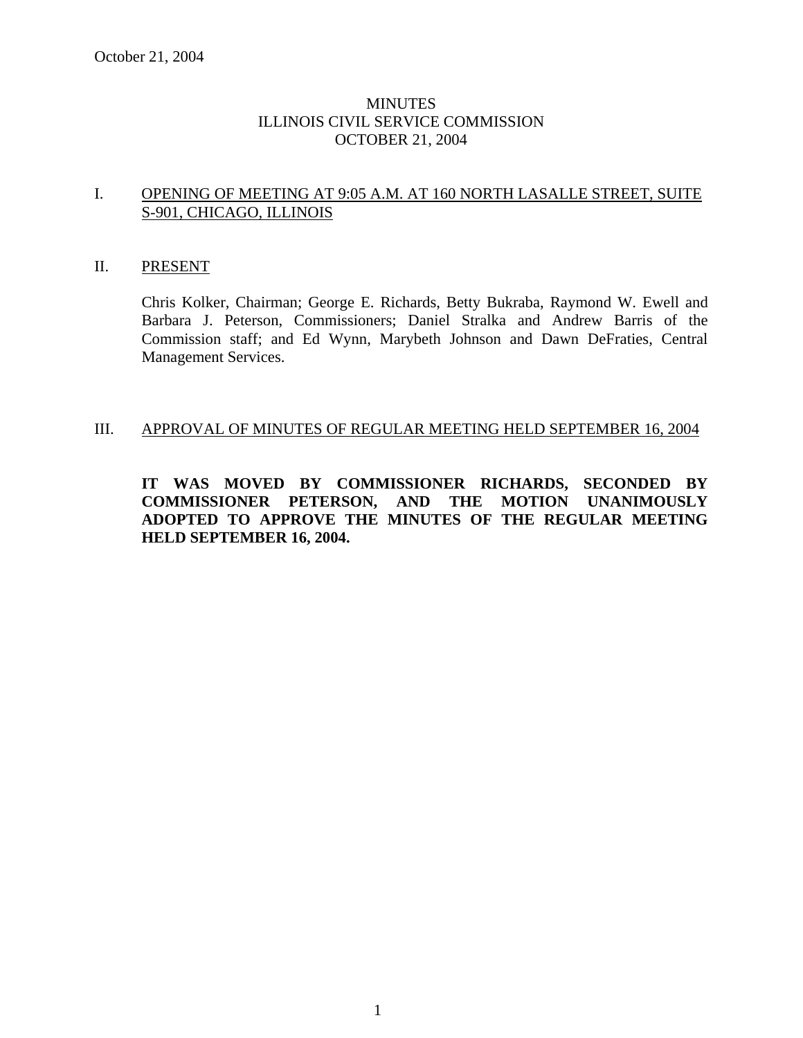# MINUTES ILLINOIS CIVIL SERVICE COMMISSION OCTOBER 21, 2004

# I. OPENING OF MEETING AT 9:05 A.M. AT 160 NORTH LASALLE STREET, SUITE S-901, CHICAGO, ILLINOIS

### II. PRESENT

Chris Kolker, Chairman; George E. Richards, Betty Bukraba, Raymond W. Ewell and Barbara J. Peterson, Commissioners; Daniel Stralka and Andrew Barris of the Commission staff; and Ed Wynn, Marybeth Johnson and Dawn DeFraties, Central Management Services.

## III. APPROVAL OF MINUTES OF REGULAR MEETING HELD SEPTEMBER 16, 2004

**IT WAS MOVED BY COMMISSIONER RICHARDS, SECONDED BY COMMISSIONER PETERSON, AND THE MOTION UNANIMOUSLY ADOPTED TO APPROVE THE MINUTES OF THE REGULAR MEETING HELD SEPTEMBER 16, 2004.**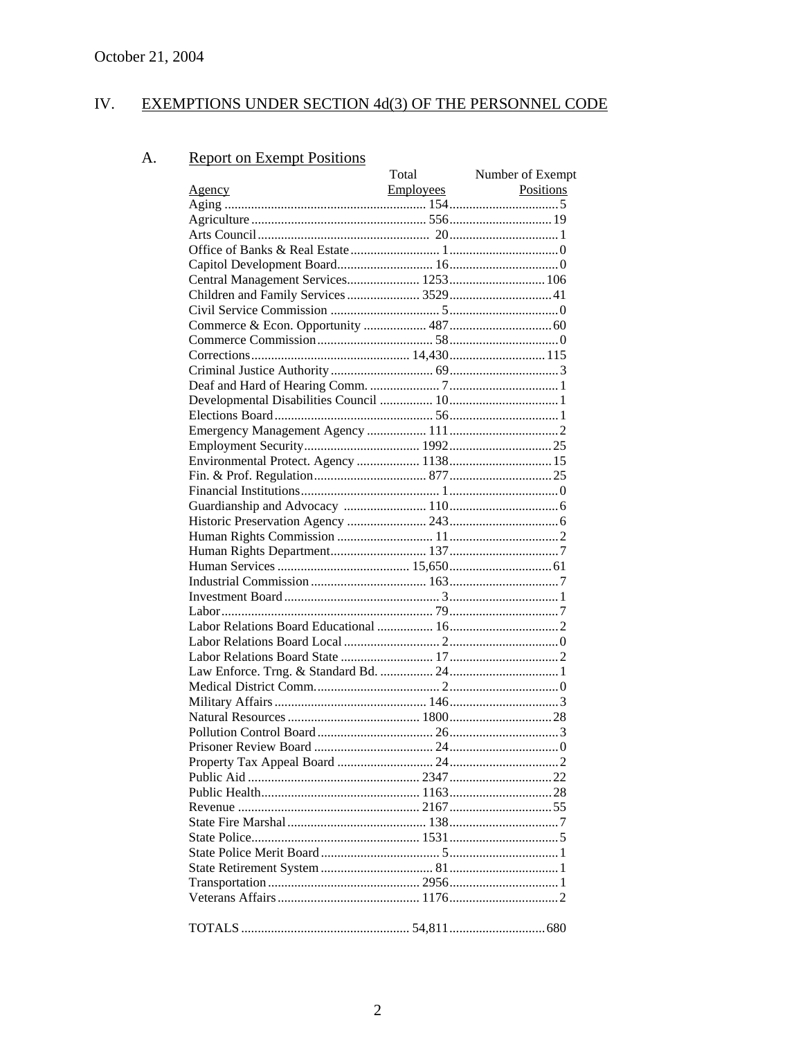#### IV. EXEMPTIONS UNDER SECTION 4d(3) OF THE PERSONNEL CODE

#### **Report on Exempt Positions** A.

|                                        | Total            | Number of Exempt |
|----------------------------------------|------------------|------------------|
|                                        | <b>Employees</b> | Positions        |
|                                        |                  |                  |
|                                        |                  |                  |
|                                        |                  |                  |
|                                        |                  |                  |
|                                        |                  |                  |
| Central Management Services 1253 106   |                  |                  |
| Children and Family Services  3529  41 |                  |                  |
|                                        |                  |                  |
|                                        |                  |                  |
|                                        |                  |                  |
|                                        |                  |                  |
|                                        |                  |                  |
|                                        |                  |                  |
|                                        |                  |                  |
|                                        |                  |                  |
|                                        |                  |                  |
|                                        |                  |                  |
|                                        |                  |                  |
|                                        |                  |                  |
|                                        |                  |                  |
|                                        |                  |                  |
|                                        |                  |                  |
|                                        |                  |                  |
|                                        |                  |                  |
|                                        |                  |                  |
|                                        |                  |                  |
|                                        |                  |                  |
|                                        |                  |                  |
|                                        |                  |                  |
|                                        |                  |                  |
|                                        |                  |                  |
|                                        |                  |                  |
|                                        |                  |                  |
|                                        |                  |                  |
|                                        |                  |                  |
|                                        |                  |                  |
|                                        |                  |                  |
|                                        |                  |                  |
|                                        |                  |                  |
|                                        |                  |                  |
|                                        |                  |                  |
|                                        |                  |                  |
|                                        |                  |                  |
|                                        |                  |                  |
|                                        |                  |                  |
|                                        |                  |                  |
|                                        |                  |                  |
|                                        |                  |                  |
|                                        |                  |                  |
|                                        |                  |                  |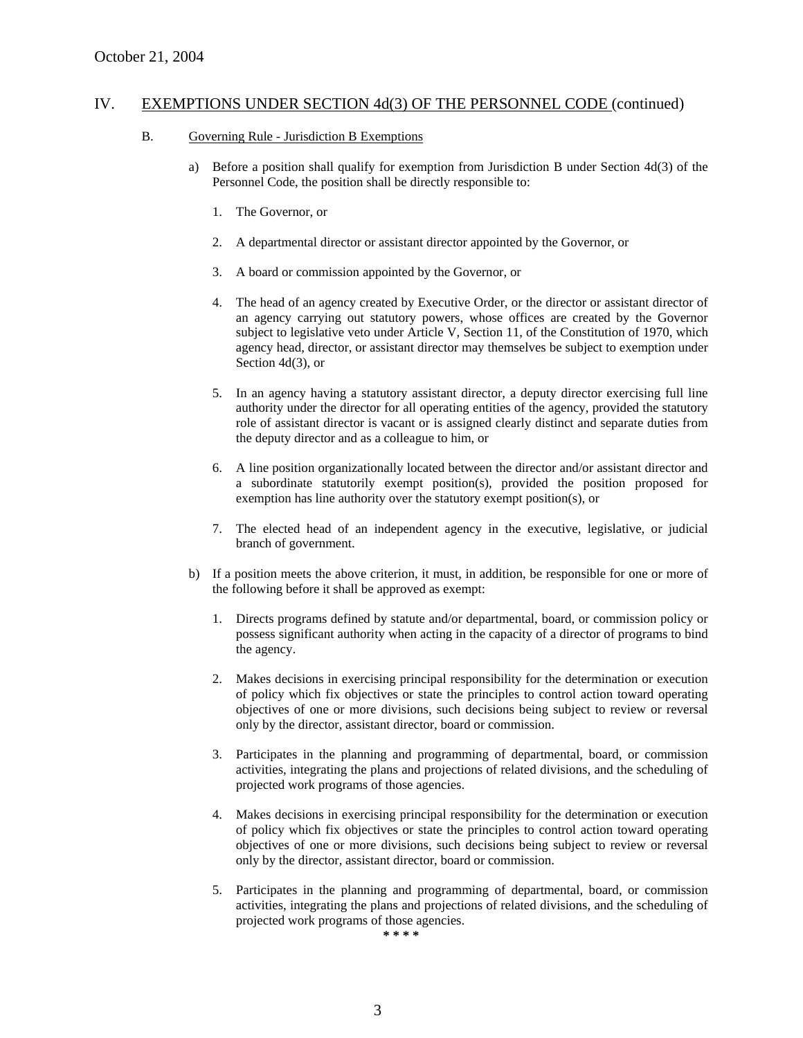#### B. Governing Rule - Jurisdiction B Exemptions

- a) Before a position shall qualify for exemption from Jurisdiction B under Section 4d(3) of the Personnel Code, the position shall be directly responsible to:
	- 1. The Governor, or
	- 2. A departmental director or assistant director appointed by the Governor, or
	- 3. A board or commission appointed by the Governor, or
	- 4. The head of an agency created by Executive Order, or the director or assistant director of an agency carrying out statutory powers, whose offices are created by the Governor subject to legislative veto under Article V, Section 11, of the Constitution of 1970, which agency head, director, or assistant director may themselves be subject to exemption under Section 4d(3), or
	- 5. In an agency having a statutory assistant director, a deputy director exercising full line authority under the director for all operating entities of the agency, provided the statutory role of assistant director is vacant or is assigned clearly distinct and separate duties from the deputy director and as a colleague to him, or
	- 6. A line position organizationally located between the director and/or assistant director and a subordinate statutorily exempt position(s), provided the position proposed for exemption has line authority over the statutory exempt position(s), or
	- 7. The elected head of an independent agency in the executive, legislative, or judicial branch of government.
- b) If a position meets the above criterion, it must, in addition, be responsible for one or more of the following before it shall be approved as exempt:
	- 1. Directs programs defined by statute and/or departmental, board, or commission policy or possess significant authority when acting in the capacity of a director of programs to bind the agency.
	- 2. Makes decisions in exercising principal responsibility for the determination or execution of policy which fix objectives or state the principles to control action toward operating objectives of one or more divisions, such decisions being subject to review or reversal only by the director, assistant director, board or commission.
	- 3. Participates in the planning and programming of departmental, board, or commission activities, integrating the plans and projections of related divisions, and the scheduling of projected work programs of those agencies.
	- 4. Makes decisions in exercising principal responsibility for the determination or execution of policy which fix objectives or state the principles to control action toward operating objectives of one or more divisions, such decisions being subject to review or reversal only by the director, assistant director, board or commission.
	- 5. Participates in the planning and programming of departmental, board, or commission activities, integrating the plans and projections of related divisions, and the scheduling of projected work programs of those agencies.

**\* \* \* \***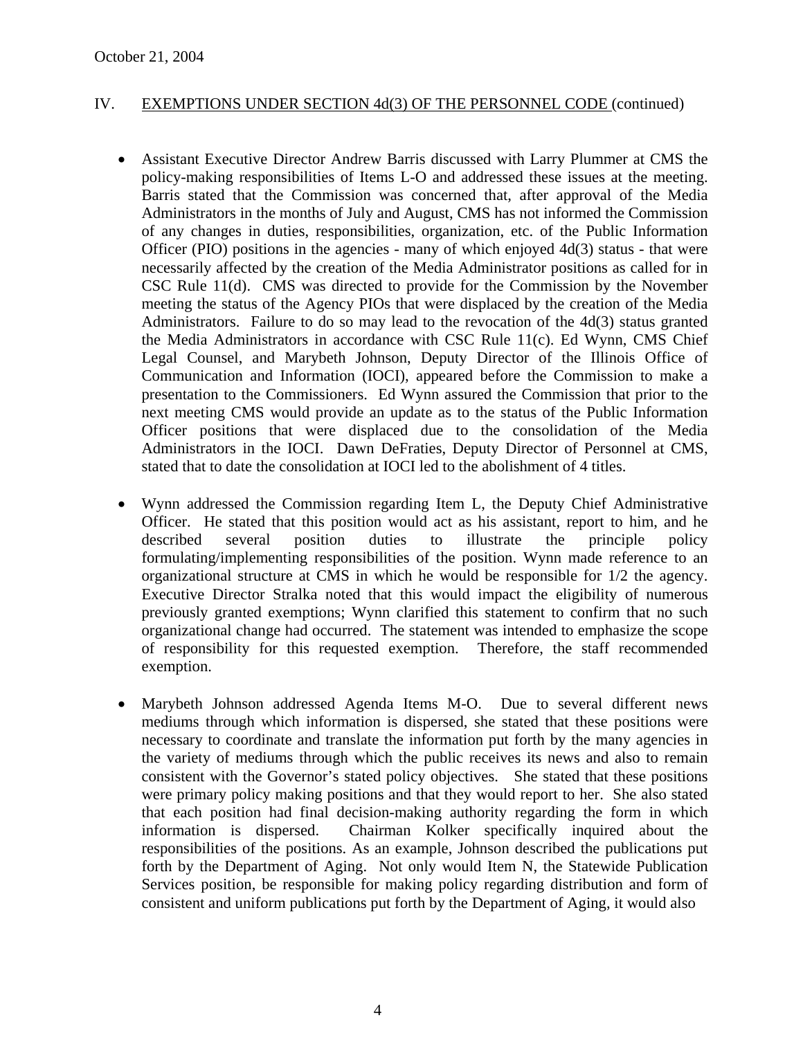- Assistant Executive Director Andrew Barris discussed with Larry Plummer at CMS the policy-making responsibilities of Items L-O and addressed these issues at the meeting. Barris stated that the Commission was concerned that, after approval of the Media Administrators in the months of July and August, CMS has not informed the Commission of any changes in duties, responsibilities, organization, etc. of the Public Information Officer (PIO) positions in the agencies - many of which enjoyed 4d(3) status - that were necessarily affected by the creation of the Media Administrator positions as called for in CSC Rule 11(d). CMS was directed to provide for the Commission by the November meeting the status of the Agency PIOs that were displaced by the creation of the Media Administrators. Failure to do so may lead to the revocation of the 4d(3) status granted the Media Administrators in accordance with CSC Rule 11(c). Ed Wynn, CMS Chief Legal Counsel, and Marybeth Johnson, Deputy Director of the Illinois Office of Communication and Information (IOCI), appeared before the Commission to make a presentation to the Commissioners. Ed Wynn assured the Commission that prior to the next meeting CMS would provide an update as to the status of the Public Information Officer positions that were displaced due to the consolidation of the Media Administrators in the IOCI. Dawn DeFraties, Deputy Director of Personnel at CMS, stated that to date the consolidation at IOCI led to the abolishment of 4 titles.
- Wynn addressed the Commission regarding Item L, the Deputy Chief Administrative Officer. He stated that this position would act as his assistant, report to him, and he described several position duties to illustrate the principle policy formulating/implementing responsibilities of the position. Wynn made reference to an organizational structure at CMS in which he would be responsible for 1/2 the agency. Executive Director Stralka noted that this would impact the eligibility of numerous previously granted exemptions; Wynn clarified this statement to confirm that no such organizational change had occurred. The statement was intended to emphasize the scope of responsibility for this requested exemption. Therefore, the staff recommended exemption.
- Marybeth Johnson addressed Agenda Items M-O. Due to several different news mediums through which information is dispersed, she stated that these positions were necessary to coordinate and translate the information put forth by the many agencies in the variety of mediums through which the public receives its news and also to remain consistent with the Governor's stated policy objectives. She stated that these positions were primary policy making positions and that they would report to her. She also stated that each position had final decision-making authority regarding the form in which information is dispersed. Chairman Kolker specifically inquired about the responsibilities of the positions. As an example, Johnson described the publications put forth by the Department of Aging. Not only would Item N, the Statewide Publication Services position, be responsible for making policy regarding distribution and form of consistent and uniform publications put forth by the Department of Aging, it would also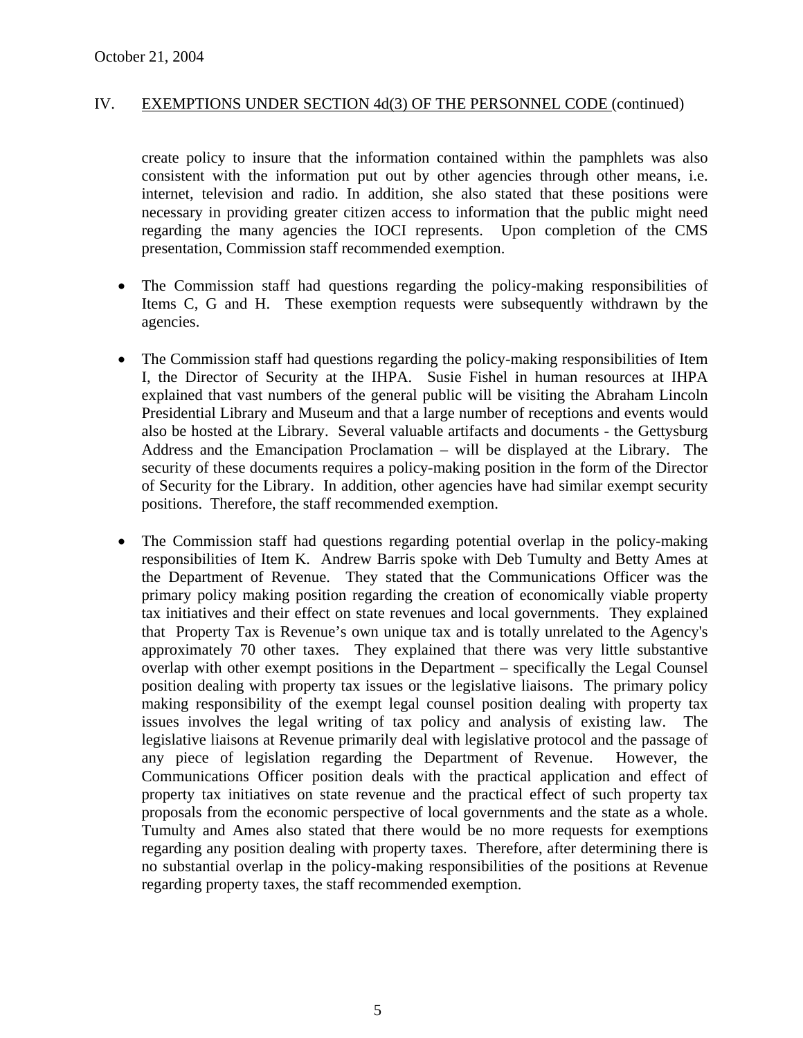create policy to insure that the information contained within the pamphlets was also consistent with the information put out by other agencies through other means, i.e. internet, television and radio. In addition, she also stated that these positions were necessary in providing greater citizen access to information that the public might need regarding the many agencies the IOCI represents. Upon completion of the CMS presentation, Commission staff recommended exemption.

- The Commission staff had questions regarding the policy-making responsibilities of Items C, G and H. These exemption requests were subsequently withdrawn by the agencies.
- The Commission staff had questions regarding the policy-making responsibilities of Item I, the Director of Security at the IHPA. Susie Fishel in human resources at IHPA explained that vast numbers of the general public will be visiting the Abraham Lincoln Presidential Library and Museum and that a large number of receptions and events would also be hosted at the Library. Several valuable artifacts and documents - the Gettysburg Address and the Emancipation Proclamation – will be displayed at the Library. The security of these documents requires a policy-making position in the form of the Director of Security for the Library. In addition, other agencies have had similar exempt security positions. Therefore, the staff recommended exemption.
- The Commission staff had questions regarding potential overlap in the policy-making responsibilities of Item K. Andrew Barris spoke with Deb Tumulty and Betty Ames at the Department of Revenue. They stated that the Communications Officer was the primary policy making position regarding the creation of economically viable property tax initiatives and their effect on state revenues and local governments. They explained that Property Tax is Revenue's own unique tax and is totally unrelated to the Agency's approximately 70 other taxes. They explained that there was very little substantive overlap with other exempt positions in the Department – specifically the Legal Counsel position dealing with property tax issues or the legislative liaisons. The primary policy making responsibility of the exempt legal counsel position dealing with property tax issues involves the legal writing of tax policy and analysis of existing law. The legislative liaisons at Revenue primarily deal with legislative protocol and the passage of any piece of legislation regarding the Department of Revenue. However, the Communications Officer position deals with the practical application and effect of property tax initiatives on state revenue and the practical effect of such property tax proposals from the economic perspective of local governments and the state as a whole. Tumulty and Ames also stated that there would be no more requests for exemptions regarding any position dealing with property taxes. Therefore, after determining there is no substantial overlap in the policy-making responsibilities of the positions at Revenue regarding property taxes, the staff recommended exemption.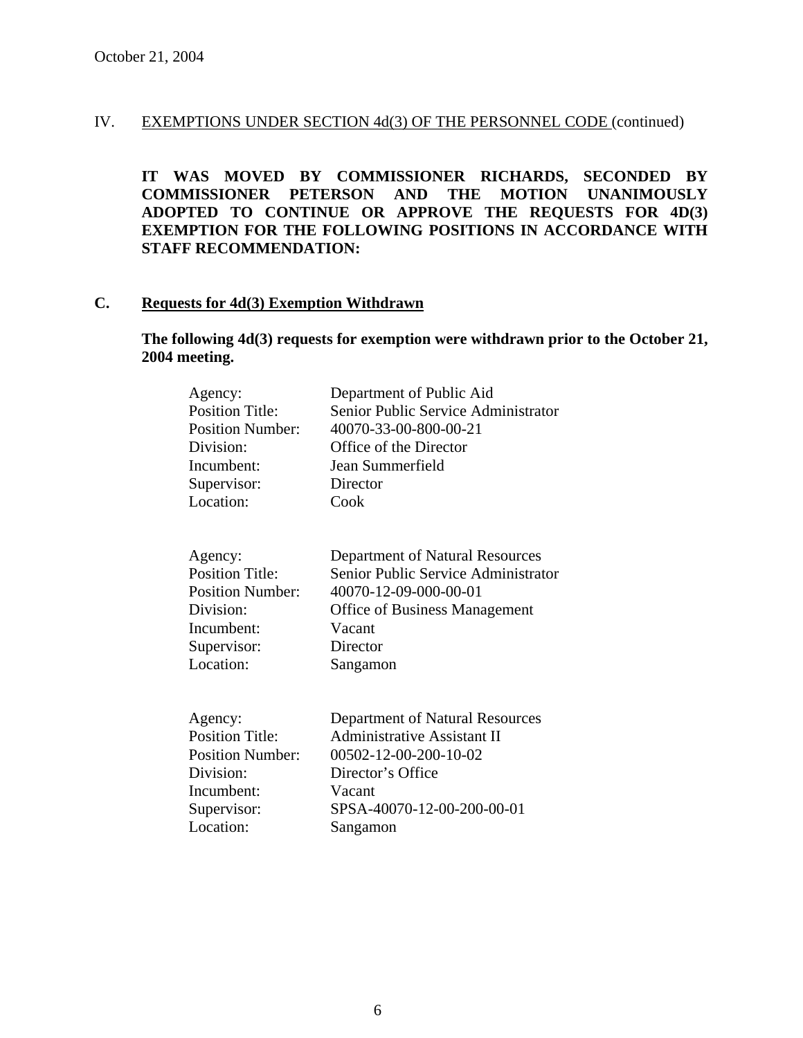**IT WAS MOVED BY COMMISSIONER RICHARDS, SECONDED BY COMMISSIONER PETERSON AND THE MOTION UNANIMOUSLY ADOPTED TO CONTINUE OR APPROVE THE REQUESTS FOR 4D(3) EXEMPTION FOR THE FOLLOWING POSITIONS IN ACCORDANCE WITH STAFF RECOMMENDATION:** 

#### **C. Requests for 4d(3) Exemption Withdrawn**

# **The following 4d(3) requests for exemption were withdrawn prior to the October 21, 2004 meeting.**

| Agency:<br><b>Position Title:</b><br><b>Position Number:</b><br>Division:<br>Incumbent:<br>Supervisor:<br>Location: | Department of Public Aid<br>Senior Public Service Administrator<br>40070-33-00-800-00-21<br>Office of the Director<br>Jean Summerfield<br>Director<br>Cook                |
|---------------------------------------------------------------------------------------------------------------------|---------------------------------------------------------------------------------------------------------------------------------------------------------------------------|
| Agency:<br><b>Position Title:</b><br><b>Position Number:</b><br>Division:<br>Incumbent:<br>Supervisor:<br>Location: | Department of Natural Resources<br>Senior Public Service Administrator<br>40070-12-09-000-00-01<br><b>Office of Business Management</b><br>Vacant<br>Director<br>Sangamon |
| Agency:<br><b>Position Title:</b><br><b>Position Number:</b><br>Division:<br>Incumbent:<br>Supervisor:<br>Location: | Department of Natural Resources<br><b>Administrative Assistant II</b><br>00502-12-00-200-10-02<br>Director's Office<br>Vacant<br>SPSA-40070-12-00-200-00-01<br>Sangamon   |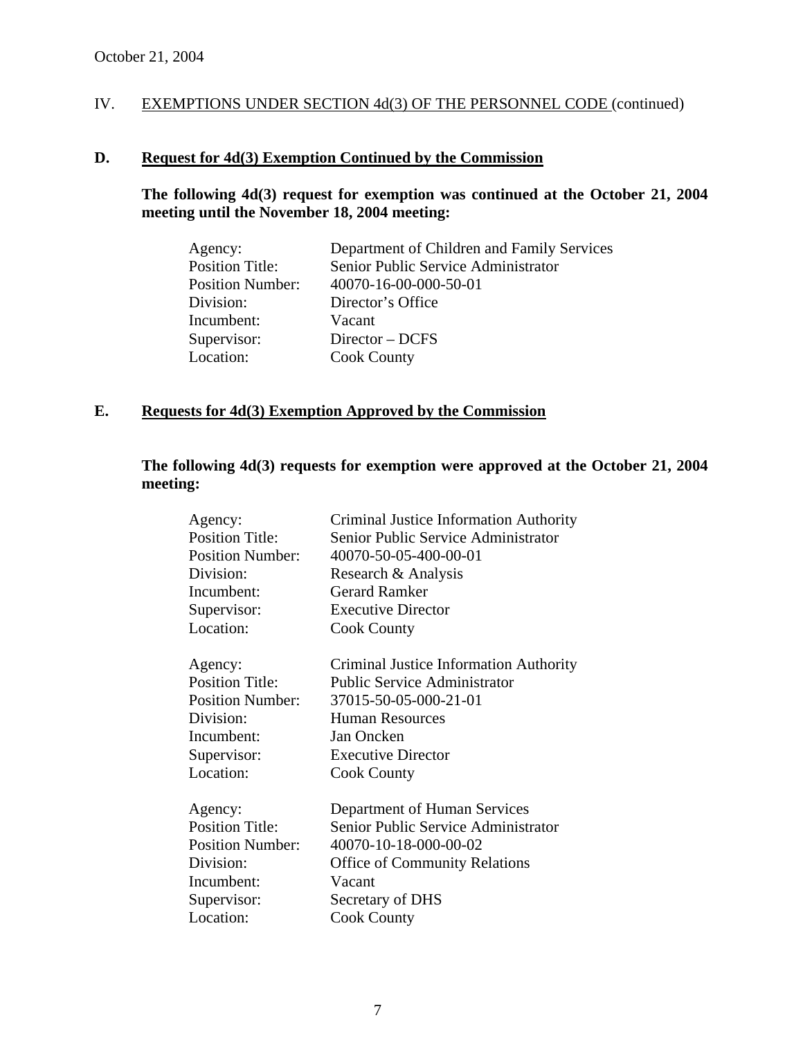# **D. Request for 4d(3) Exemption Continued by the Commission**

# **The following 4d(3) request for exemption was continued at the October 21, 2004 meeting until the November 18, 2004 meeting:**

| Agency:                 | Department of Children and Family Services |
|-------------------------|--------------------------------------------|
| <b>Position Title:</b>  | Senior Public Service Administrator        |
| <b>Position Number:</b> | 40070-16-00-000-50-01                      |
| Division:               | Director's Office                          |
| Incumbent:              | Vacant                                     |
| Supervisor:             | Director – DCFS                            |
| Location:               | <b>Cook County</b>                         |

# **E. Requests for 4d(3) Exemption Approved by the Commission**

# **The following 4d(3) requests for exemption were approved at the October 21, 2004 meeting:**

| Agency:                 | Criminal Justice Information Authority |
|-------------------------|----------------------------------------|
| <b>Position Title:</b>  | Senior Public Service Administrator    |
| <b>Position Number:</b> | 40070-50-05-400-00-01                  |
| Division:               | Research & Analysis                    |
| Incumbent:              | <b>Gerard Ramker</b>                   |
| Supervisor:             | <b>Executive Director</b>              |
| Location:               | <b>Cook County</b>                     |
| Agency:                 | Criminal Justice Information Authority |
| <b>Position Title:</b>  | <b>Public Service Administrator</b>    |
| <b>Position Number:</b> | 37015-50-05-000-21-01                  |
| Division:               | <b>Human Resources</b>                 |
| Incumbent:              | Jan Oncken                             |
| Supervisor:             | <b>Executive Director</b>              |
| Location:               | <b>Cook County</b>                     |
| Agency:                 | Department of Human Services           |
| <b>Position Title:</b>  | Senior Public Service Administrator    |
| <b>Position Number:</b> | 40070-10-18-000-00-02                  |
| Division:               | <b>Office of Community Relations</b>   |
| Incumbent:              | Vacant                                 |
| Supervisor:             | Secretary of DHS                       |
| Location:               | <b>Cook County</b>                     |
|                         |                                        |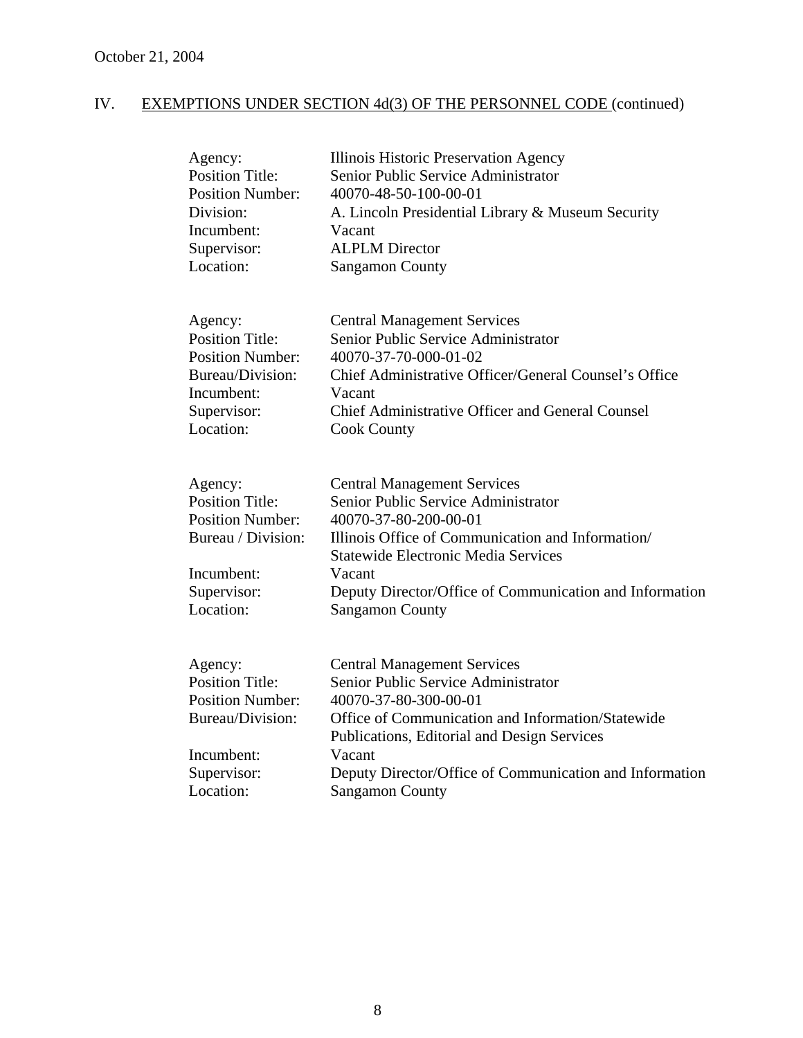| Agency:<br><b>Position Title:</b><br><b>Position Number:</b><br>Division:<br>Incumbent:<br>Supervisor:<br>Location:          | Illinois Historic Preservation Agency<br>Senior Public Service Administrator<br>40070-48-50-100-00-01<br>A. Lincoln Presidential Library & Museum Security<br>Vacant<br><b>ALPLM Director</b><br><b>Sangamon County</b>                                                                               |
|------------------------------------------------------------------------------------------------------------------------------|-------------------------------------------------------------------------------------------------------------------------------------------------------------------------------------------------------------------------------------------------------------------------------------------------------|
| Agency:<br><b>Position Title:</b><br><b>Position Number:</b><br>Bureau/Division:<br>Incumbent:<br>Supervisor:<br>Location:   | <b>Central Management Services</b><br>Senior Public Service Administrator<br>40070-37-70-000-01-02<br>Chief Administrative Officer/General Counsel's Office<br>Vacant<br>Chief Administrative Officer and General Counsel<br><b>Cook County</b>                                                       |
| Agency:<br><b>Position Title:</b><br><b>Position Number:</b><br>Bureau / Division:<br>Incumbent:<br>Supervisor:<br>Location: | <b>Central Management Services</b><br>Senior Public Service Administrator<br>40070-37-80-200-00-01<br>Illinois Office of Communication and Information/<br><b>Statewide Electronic Media Services</b><br>Vacant<br>Deputy Director/Office of Communication and Information<br><b>Sangamon County</b>  |
| Agency:<br><b>Position Title:</b><br><b>Position Number:</b><br>Bureau/Division:<br>Incumbent:<br>Supervisor:<br>Location:   | <b>Central Management Services</b><br>Senior Public Service Administrator<br>40070-37-80-300-00-01<br>Office of Communication and Information/Statewide<br>Publications, Editorial and Design Services<br>Vacant<br>Deputy Director/Office of Communication and Information<br><b>Sangamon County</b> |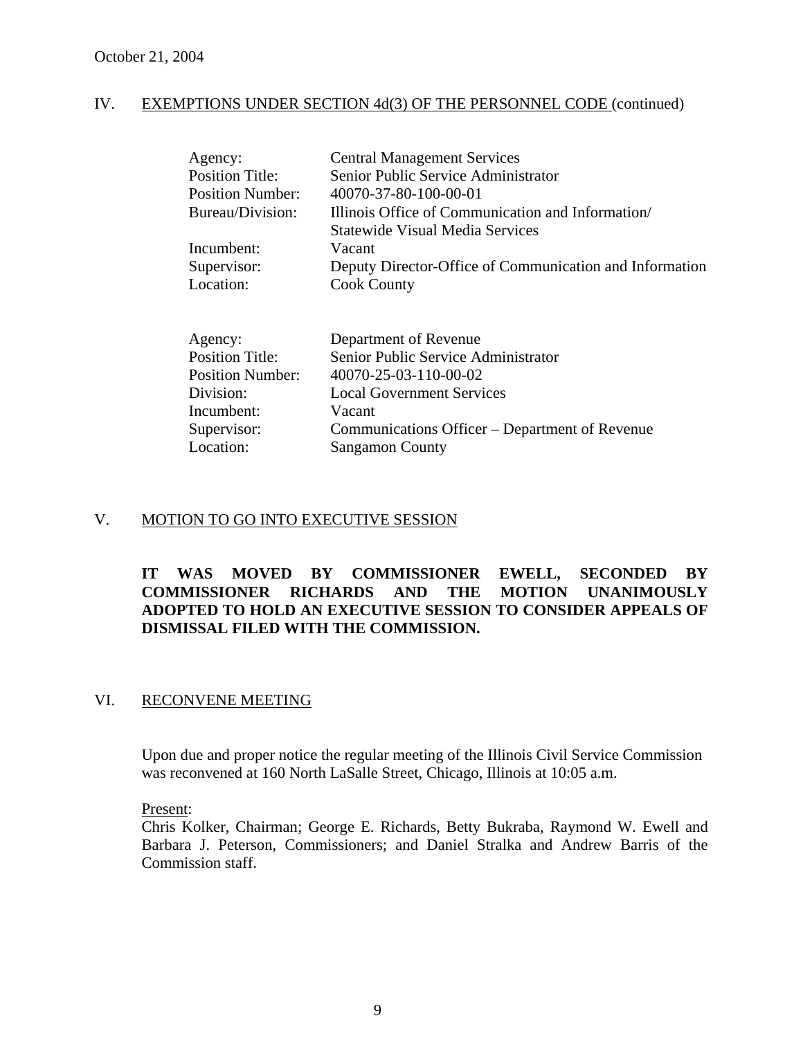| Agency:                 | <b>Central Management Services</b>                      |
|-------------------------|---------------------------------------------------------|
| Position Title:         | Senior Public Service Administrator                     |
| <b>Position Number:</b> | 40070-37-80-100-00-01                                   |
| Bureau/Division:        | Illinois Office of Communication and Information        |
|                         | Statewide Visual Media Services                         |
| Incumbent:              | Vacant                                                  |
| Supervisor:             | Deputy Director-Office of Communication and Information |
| Location:               | <b>Cook County</b>                                      |
|                         |                                                         |
| Agency:                 | Department of Revenue                                   |
| <b>Position Title:</b>  | Senior Public Service Administrator                     |
| Position Number:        | 40070-25-03-110-00-02                                   |
| Division:               | <b>Local Government Services</b>                        |
| Incumbent:              | Vacant                                                  |

# Supervisor: Communications Officer – Department of Revenue Location: Sangamon County

# V. MOTION TO GO INTO EXECUTIVE SESSION

# **IT WAS MOVED BY COMMISSIONER EWELL, SECONDED BY COMMISSIONER RICHARDS AND THE MOTION UNANIMOUSLY ADOPTED TO HOLD AN EXECUTIVE SESSION TO CONSIDER APPEALS OF DISMISSAL FILED WITH THE COMMISSION.**

# VI. RECONVENE MEETING

Upon due and proper notice the regular meeting of the Illinois Civil Service Commission was reconvened at 160 North LaSalle Street, Chicago, Illinois at 10:05 a.m.

Present:

Chris Kolker, Chairman; George E. Richards, Betty Bukraba, Raymond W. Ewell and Barbara J. Peterson, Commissioners; and Daniel Stralka and Andrew Barris of the Commission staff.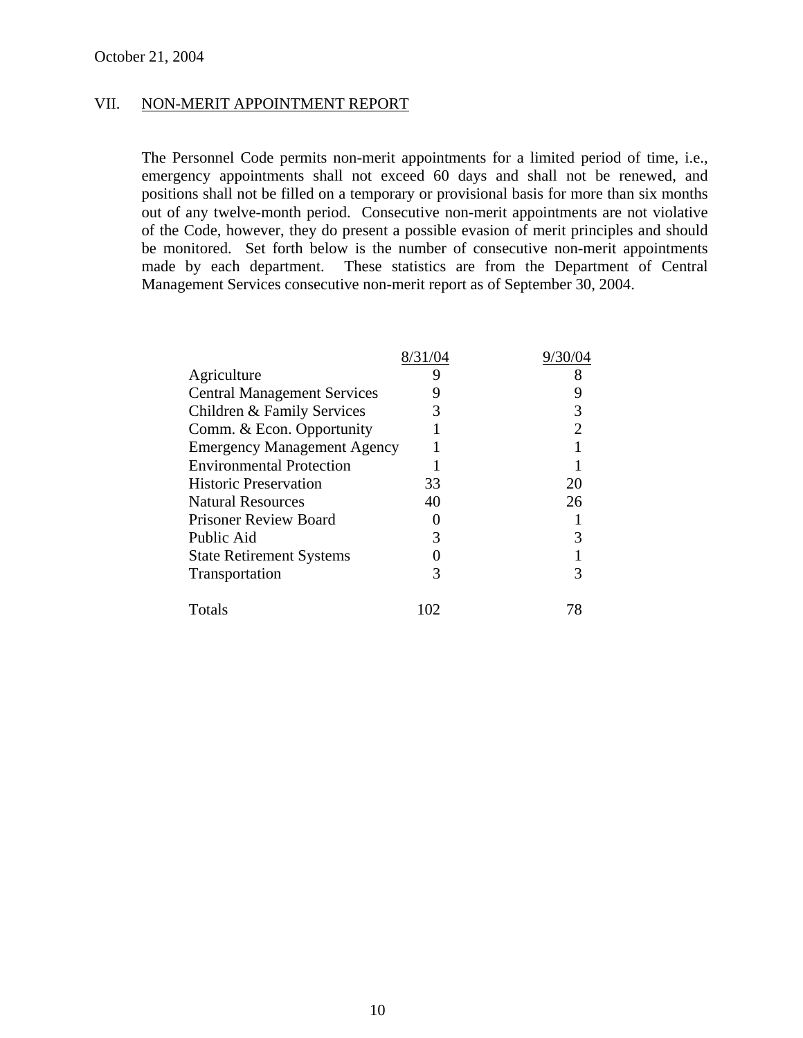# VII. NON-MERIT APPOINTMENT REPORT

The Personnel Code permits non-merit appointments for a limited period of time, i.e., emergency appointments shall not exceed 60 days and shall not be renewed, and positions shall not be filled on a temporary or provisional basis for more than six months out of any twelve-month period. Consecutive non-merit appointments are not violative of the Code, however, they do present a possible evasion of merit principles and should be monitored. Set forth below is the number of consecutive non-merit appointments made by each department. These statistics are from the Department of Central Management Services consecutive non-merit report as of September 30, 2004.

| Agriculture                        |     |    |
|------------------------------------|-----|----|
| <b>Central Management Services</b> |     |    |
| Children & Family Services         |     |    |
| Comm. & Econ. Opportunity          |     |    |
| <b>Emergency Management Agency</b> |     |    |
| <b>Environmental Protection</b>    |     |    |
| <b>Historic Preservation</b>       | 33  | 20 |
| <b>Natural Resources</b>           | 40  | 26 |
| <b>Prisoner Review Board</b>       |     |    |
| Public Aid                         |     |    |
| <b>State Retirement Systems</b>    |     |    |
| Transportation                     |     |    |
| Totals                             | 102 |    |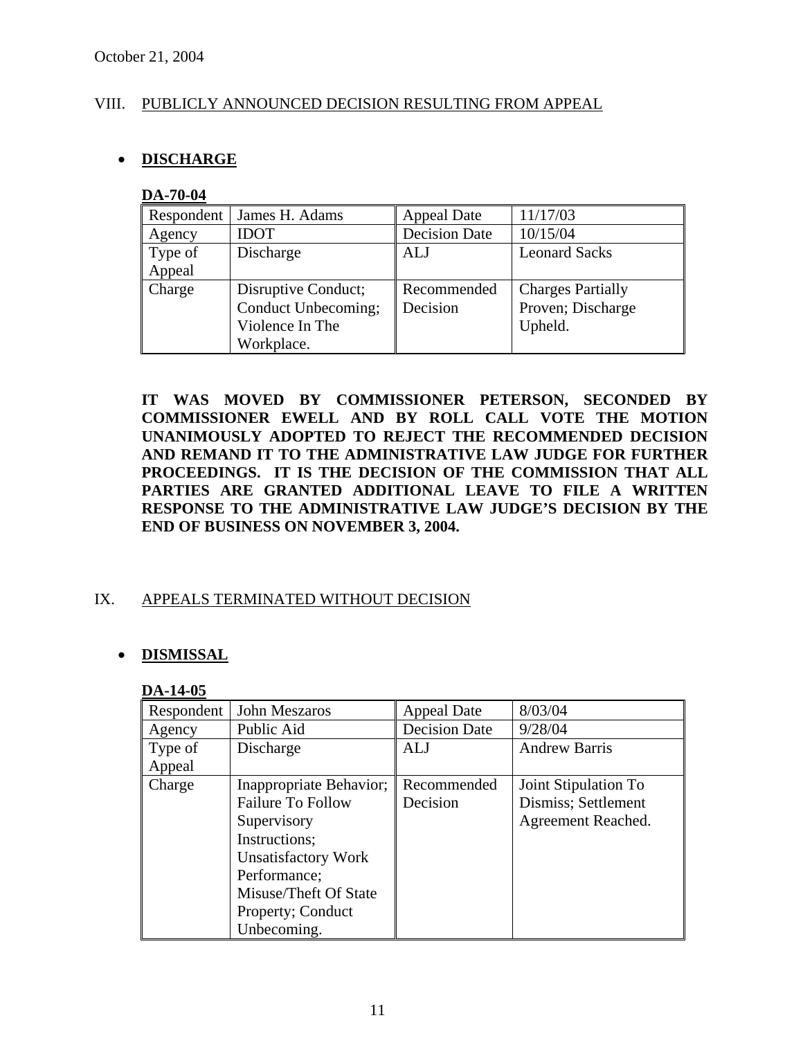# VIII. PUBLICLY ANNOUNCED DECISION RESULTING FROM APPEAL

# • **DISCHARGE**

#### **DA-70-04**

| Respondent | James H. Adams      | <b>Appeal Date</b>   | 11/17/03                 |
|------------|---------------------|----------------------|--------------------------|
| Agency     | <b>IDOT</b>         | <b>Decision Date</b> | 10/15/04                 |
| Type of    | Discharge           | ALJ                  | <b>Leonard Sacks</b>     |
| Appeal     |                     |                      |                          |
| Charge     | Disruptive Conduct; | Recommended          | <b>Charges Partially</b> |
|            | Conduct Unbecoming; | Decision             | Proven; Discharge        |
|            | Violence In The     |                      | Upheld.                  |
|            | Workplace.          |                      |                          |

**IT WAS MOVED BY COMMISSIONER PETERSON, SECONDED BY COMMISSIONER EWELL AND BY ROLL CALL VOTE THE MOTION UNANIMOUSLY ADOPTED TO REJECT THE RECOMMENDED DECISION AND REMAND IT TO THE ADMINISTRATIVE LAW JUDGE FOR FURTHER PROCEEDINGS. IT IS THE DECISION OF THE COMMISSION THAT ALL PARTIES ARE GRANTED ADDITIONAL LEAVE TO FILE A WRITTEN RESPONSE TO THE ADMINISTRATIVE LAW JUDGE'S DECISION BY THE END OF BUSINESS ON NOVEMBER 3, 2004.** 

# IX. APPEALS TERMINATED WITHOUT DECISION

# • **DISMISSAL**

#### **DA-14-05**

| Respondent | John Meszaros            | <b>Appeal Date</b>   | 8/03/04              |
|------------|--------------------------|----------------------|----------------------|
| Agency     | Public Aid               | <b>Decision Date</b> | 9/28/04              |
| Type of    | Discharge                | ALJ                  | <b>Andrew Barris</b> |
| Appeal     |                          |                      |                      |
| Charge     | Inappropriate Behavior;  | Recommended          | Joint Stipulation To |
|            | <b>Failure To Follow</b> | Decision             | Dismiss; Settlement  |
|            | Supervisory              |                      | Agreement Reached.   |
|            | Instructions;            |                      |                      |
|            | Unsatisfactory Work      |                      |                      |
|            | Performance;             |                      |                      |
|            | Misuse/Theft Of State    |                      |                      |
|            | Property; Conduct        |                      |                      |
|            | Unbecoming.              |                      |                      |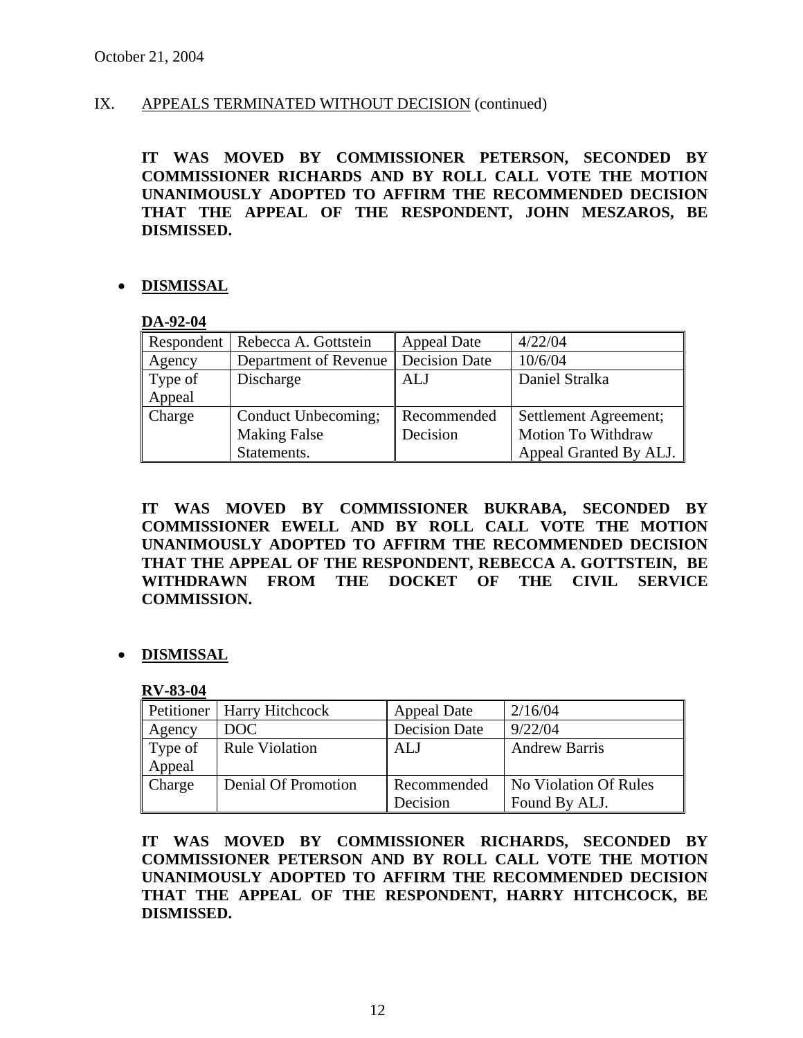# IX. APPEALS TERMINATED WITHOUT DECISION (continued)

**IT WAS MOVED BY COMMISSIONER PETERSON, SECONDED BY COMMISSIONER RICHARDS AND BY ROLL CALL VOTE THE MOTION UNANIMOUSLY ADOPTED TO AFFIRM THE RECOMMENDED DECISION THAT THE APPEAL OF THE RESPONDENT, JOHN MESZAROS, BE DISMISSED.** 

# • **DISMISSAL**

#### **DA-92-04**

| Respondent | Rebecca A. Gottstein                  | <b>Appeal Date</b> | 4/22/04                |
|------------|---------------------------------------|--------------------|------------------------|
| Agency     | Department of Revenue   Decision Date |                    | 10/6/04                |
| Type of    | Discharge                             | ALJ                | Daniel Stralka         |
| Appeal     |                                       |                    |                        |
| Charge     | Conduct Unbecoming;                   | Recommended        | Settlement Agreement;  |
|            | <b>Making False</b>                   | Decision           | Motion To Withdraw     |
|            | Statements.                           |                    | Appeal Granted By ALJ. |

**IT WAS MOVED BY COMMISSIONER BUKRABA, SECONDED BY COMMISSIONER EWELL AND BY ROLL CALL VOTE THE MOTION UNANIMOUSLY ADOPTED TO AFFIRM THE RECOMMENDED DECISION THAT THE APPEAL OF THE RESPONDENT, REBECCA A. GOTTSTEIN, BE WITHDRAWN FROM THE DOCKET OF THE CIVIL SERVICE COMMISSION.** 

• **DISMISSAL**

# **RV-83-04**

|         | Petitioner   Harry Hitchcock | <b>Appeal Date</b>   | 2/16/04               |
|---------|------------------------------|----------------------|-----------------------|
| Agency  | DOC                          | <b>Decision Date</b> | 9/22/04               |
| Type of | <b>Rule Violation</b>        | <b>ALJ</b>           | <b>Andrew Barris</b>  |
| Appeal  |                              |                      |                       |
| Charge  | Denial Of Promotion          | Recommended          | No Violation Of Rules |
|         |                              | Decision             | Found By ALJ.         |

**IT WAS MOVED BY COMMISSIONER RICHARDS, SECONDED BY COMMISSIONER PETERSON AND BY ROLL CALL VOTE THE MOTION UNANIMOUSLY ADOPTED TO AFFIRM THE RECOMMENDED DECISION THAT THE APPEAL OF THE RESPONDENT, HARRY HITCHCOCK, BE DISMISSED.**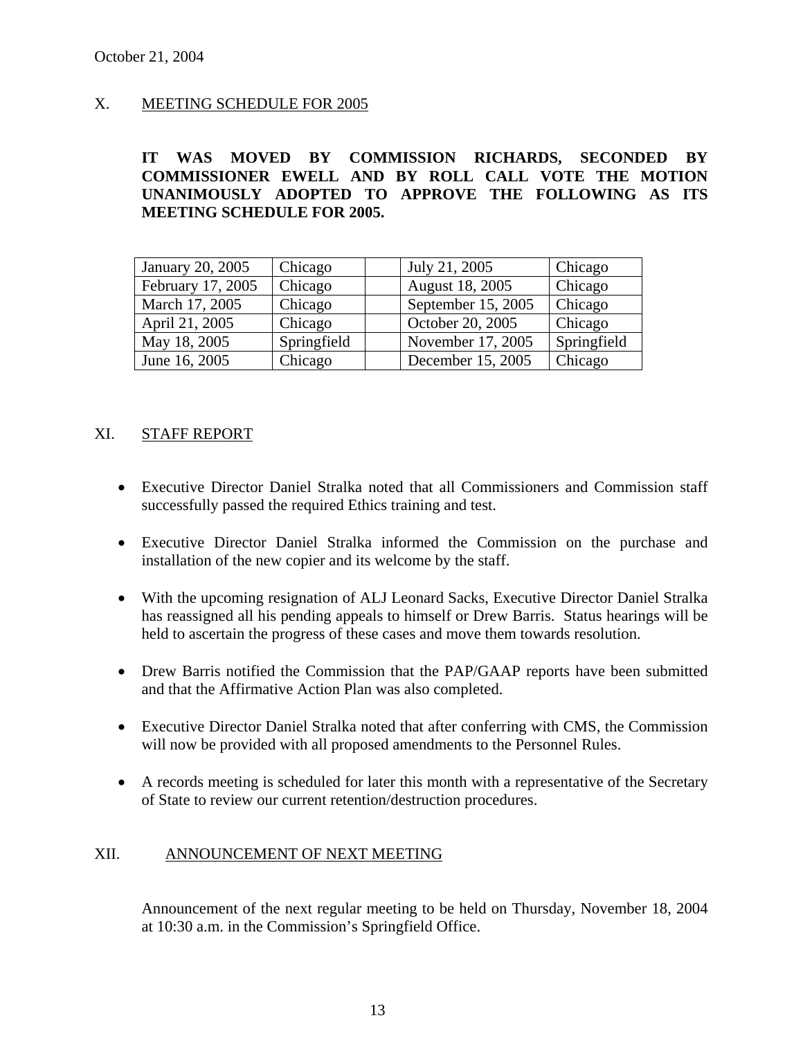# X. MEETING SCHEDULE FOR 2005

**IT WAS MOVED BY COMMISSION RICHARDS, SECONDED BY COMMISSIONER EWELL AND BY ROLL CALL VOTE THE MOTION UNANIMOUSLY ADOPTED TO APPROVE THE FOLLOWING AS ITS MEETING SCHEDULE FOR 2005.** 

| January 20, 2005  | Chicago     | July 21, 2005          | Chicago        |
|-------------------|-------------|------------------------|----------------|
| February 17, 2005 | Chicago     | <b>August 18, 2005</b> | Chicago        |
| March 17, 2005    | Chicago     | September 15, 2005     | <b>Chicago</b> |
| April 21, 2005    | Chicago     | October 20, 2005       | Chicago        |
| May 18, 2005      | Springfield | November 17, 2005      | Springfield    |
| June 16, 2005     | Chicago     | December 15, 2005      | Chicago        |

# XI. STAFF REPORT

- Executive Director Daniel Stralka noted that all Commissioners and Commission staff successfully passed the required Ethics training and test.
- Executive Director Daniel Stralka informed the Commission on the purchase and installation of the new copier and its welcome by the staff.
- With the upcoming resignation of ALJ Leonard Sacks, Executive Director Daniel Stralka has reassigned all his pending appeals to himself or Drew Barris. Status hearings will be held to ascertain the progress of these cases and move them towards resolution.
- Drew Barris notified the Commission that the PAP/GAAP reports have been submitted and that the Affirmative Action Plan was also completed.
- Executive Director Daniel Stralka noted that after conferring with CMS, the Commission will now be provided with all proposed amendments to the Personnel Rules.
- A records meeting is scheduled for later this month with a representative of the Secretary of State to review our current retention/destruction procedures.

# XII. ANNOUNCEMENT OF NEXT MEETING

Announcement of the next regular meeting to be held on Thursday, November 18, 2004 at 10:30 a.m. in the Commission's Springfield Office.